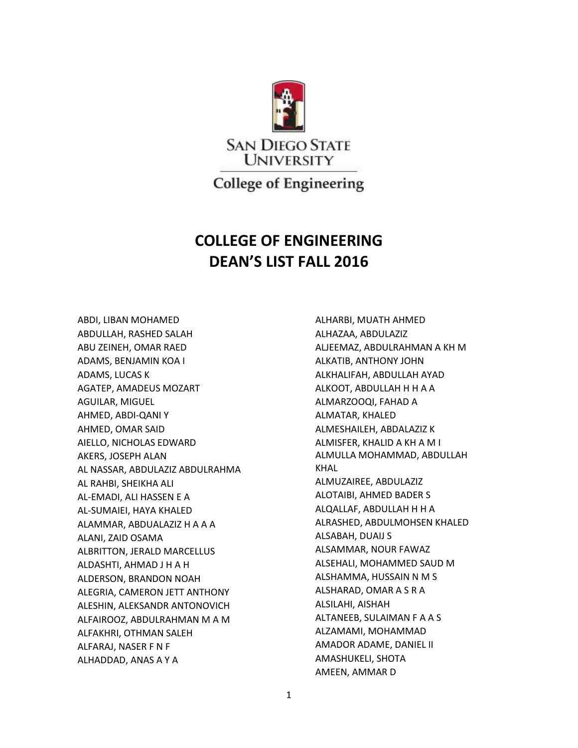

**College of Engineering** 

## **COLLEGE OF ENGINEERING DEAN'S LIST FALL 2016**

ABDI, LIBAN MOHAMED ABDULLAH, RASHED SALAH ABU ZEINEH, OMAR RAED ADAMS, BENJAMIN KOA I ADAMS, LUCAS K AGATEP, AMADEUS MOZART AGUILAR, MIGUEL AHMED, ABDI-QANI Y AHMED, OMAR SAID AIELLO, NICHOLAS EDWARD AKERS, JOSEPH ALAN AL NASSAR, ABDULAZIZ ABDULRAHMA AL RAHBI, SHEIKHA ALI AL-EMADI, ALI HASSEN E A AL-SUMAIEI, HAYA KHALED ALAMMAR, ABDUALAZIZ H A A A ALANI, ZAID OSAMA ALBRITTON, JERALD MARCELLUS ALDASHTI, AHMAD J H A H ALDERSON, BRANDON NOAH ALEGRIA, CAMERON JETT ANTHONY ALESHIN, ALEKSANDR ANTONOVICH ALFAIROOZ, ABDULRAHMAN M A M ALFAKHRI, OTHMAN SALEH ALFARAJ, NASER F N F ALHADDAD, ANAS A Y A

ALHARBI, MUATH AHMED ALHAZAA, ABDULAZIZ ALJEEMAZ, ABDULRAHMAN A KH M ALKATIB, ANTHONY JOHN ALKHALIFAH, ABDULLAH AYAD ALKOOT, ABDULLAH H H A A ALMARZOOQI, FAHAD A ALMATAR, KHALED ALMESHAILEH, ABDALAZIZ K ALMISFER, KHALID A KH A M I ALMULLA MOHAMMAD, ABDULLAH KHAL ALMUZAIREE, ABDULAZIZ ALOTAIBI, AHMED BADER S ALQALLAF, ABDULLAH H H A ALRASHED, ABDULMOHSEN KHALED ALSABAH, DUAIJ S ALSAMMAR, NOUR FAWAZ ALSEHALI, MOHAMMED SAUD M ALSHAMMA, HUSSAIN N M S ALSHARAD, OMAR A S R A ALSILAHI, AISHAH ALTANEEB, SULAIMAN F A A S ALZAMAMI, MOHAMMAD AMADOR ADAME, DANIEL II AMASHUKELI, SHOTA AMEEN, AMMAR D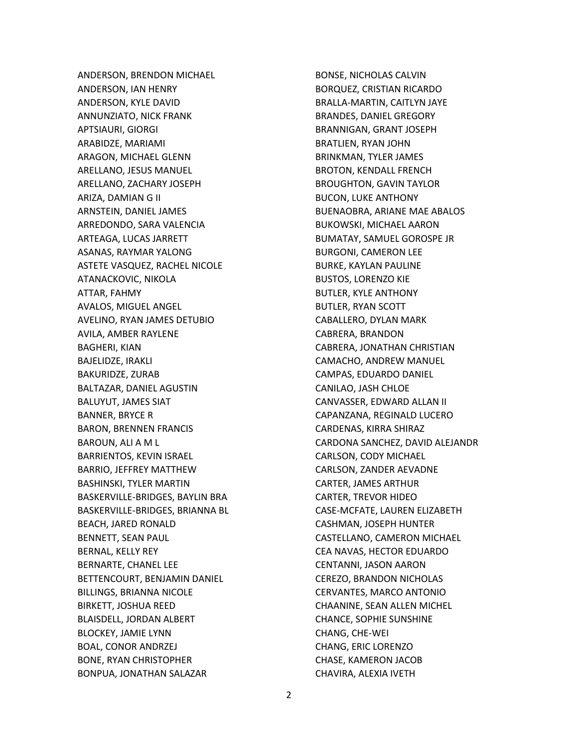ANDERSON, BRENDON MICHAEL ANDERSON, IAN HENRY ANDERSON, KYLE DAVID ANNUNZIATO, NICK FRANK APTSIAURI, GIORGI ARABIDZE, MARIAMI ARAGON, MICHAEL GLENN ARELLANO, JESUS MANUEL ARELLANO, ZACHARY JOSEPH ARIZA, DAMIAN G II ARNSTEIN, DANIEL JAMES ARREDONDO, SARA VALENCIA ARTEAGA, LUCAS JARRETT ASANAS, RAYMAR YALONG ASTETE VASQUEZ, RACHEL NICOLE ATANACKOVIC, NIKOLA ATTAR, FAHMY AVALOS, MIGUEL ANGEL AVELINO, RYAN JAMES DETUBIO AVILA, AMBER RAYLENE BAGHERI, KIAN BAJELIDZE, IRAKLI BAKURIDZE, ZURAB BALTAZAR, DANIEL AGUSTIN BALUYUT, JAMES SIAT BANNER, BRYCE R BARON, BRENNEN FRANCIS BAROUN, ALI A M L BARRIENTOS, KEVIN ISRAEL BARRIO, JEFFREY MATTHEW BASHINSKI, TYLER MARTIN BASKERVILLE-BRIDGES, BAYLIN BRA BASKERVILLE-BRIDGES, BRIANNA BL BEACH, JARED RONALD BENNETT, SEAN PAUL BERNAL, KELLY REY BERNARTE, CHANEL LEE BETTENCOURT, BENJAMIN DANIEL BILLINGS, BRIANNA NICOLE BIRKETT, JOSHUA REED BLAISDELL, JORDAN ALBERT BLOCKEY, JAMIE LYNN BOAL, CONOR ANDRZEJ BONE, RYAN CHRISTOPHER BONPUA, JONATHAN SALAZAR

BONSE, NICHOLAS CALVIN BORQUEZ, CRISTIAN RICARDO BRALLA-MARTIN, CAITLYN JAYE BRANDES, DANIEL GREGORY BRANNIGAN, GRANT JOSEPH BRATLIEN, RYAN JOHN BRINKMAN, TYLER JAMES BROTON, KENDALL FRENCH BROUGHTON, GAVIN TAYLOR BUCON, LUKE ANTHONY BUENAOBRA, ARIANE MAE ABALOS BUKOWSKI, MICHAEL AARON BUMATAY, SAMUEL GOROSPE JR BURGONI, CAMERON LEE BURKE, KAYLAN PAULINE BUSTOS, LORENZO KIE BUTLER, KYLE ANTHONY BUTLER, RYAN SCOTT CABALLERO, DYLAN MARK CABRERA, BRANDON CABRERA, JONATHAN CHRISTIAN CAMACHO, ANDREW MANUEL CAMPAS, EDUARDO DANIEL CANILAO, JASH CHLOE CANVASSER, EDWARD ALLAN II CAPANZANA, REGINALD LUCERO CARDENAS, KIRRA SHIRAZ CARDONA SANCHEZ, DAVID ALEJANDR CARLSON, CODY MICHAEL CARLSON, ZANDER AEVADNE CARTER, JAMES ARTHUR CARTER, TREVOR HIDEO CASE-MCFATE, LAUREN ELIZABETH CASHMAN, JOSEPH HUNTER CASTELLANO, CAMERON MICHAEL CEA NAVAS, HECTOR EDUARDO CENTANNI, JASON AARON CEREZO, BRANDON NICHOLAS CERVANTES, MARCO ANTONIO CHAANINE, SEAN ALLEN MICHEL CHANCE, SOPHIE SUNSHINE CHANG, CHE-WEI CHANG, ERIC LORENZO CHASE, KAMERON JACOB CHAVIRA, ALEXIA IVETH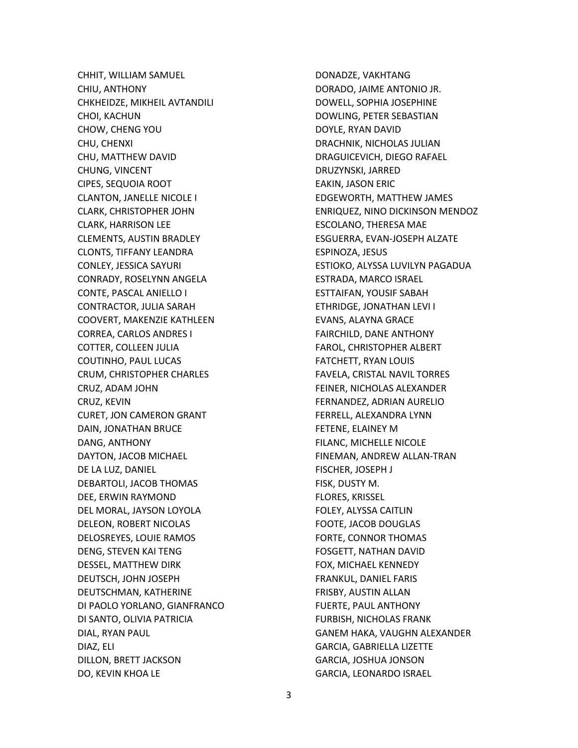CHHIT, WILLIAM SAMUEL CHIU, ANTHONY CHKHEIDZE, MIKHEIL AVTANDILI CHOI, KACHUN CHOW, CHENG YOU CHU, CHENXI CHU, MATTHEW DAVID CHUNG, VINCENT CIPES, SEQUOIA ROOT CLANTON, JANELLE NICOLE I CLARK, CHRISTOPHER JOHN CLARK, HARRISON LEE CLEMENTS, AUSTIN BRADLEY CLONTS, TIFFANY LEANDRA CONLEY, JESSICA SAYURI CONRADY, ROSELYNN ANGELA CONTE, PASCAL ANIELLO I CONTRACTOR, JULIA SARAH COOVERT, MAKENZIE KATHLEEN CORREA, CARLOS ANDRES I COTTER, COLLEEN JULIA COUTINHO, PAUL LUCAS CRUM, CHRISTOPHER CHARLES CRUZ, ADAM JOHN CRUZ, KEVIN CURET, JON CAMERON GRANT DAIN, JONATHAN BRUCE DANG, ANTHONY DAYTON, JACOB MICHAEL DE LA LUZ, DANIEL DEBARTOLI, JACOB THOMAS DEE, ERWIN RAYMOND DEL MORAL, JAYSON LOYOLA DELEON, ROBERT NICOLAS DELOSREYES, LOUIE RAMOS DENG, STEVEN KAI TENG DESSEL, MATTHEW DIRK DEUTSCH, JOHN JOSEPH DEUTSCHMAN, KATHERINE DI PAOLO YORLANO, GIANFRANCO DI SANTO, OLIVIA PATRICIA DIAL, RYAN PAUL DIAZ, ELI DILLON, BRETT JACKSON DO, KEVIN KHOA LE

DONADZE, VAKHTANG DORADO, JAIME ANTONIO JR. DOWELL, SOPHIA JOSEPHINE DOWLING, PETER SEBASTIAN DOYLE, RYAN DAVID DRACHNIK, NICHOLAS JULIAN DRAGUICEVICH, DIEGO RAFAEL DRUZYNSKI, JARRED EAKIN, JASON ERIC EDGEWORTH, MATTHEW JAMES ENRIQUEZ, NINO DICKINSON MENDOZ ESCOLANO, THERESA MAE ESGUERRA, EVAN-JOSEPH ALZATE ESPINOZA, JESUS ESTIOKO, ALYSSA LUVILYN PAGADUA ESTRADA, MARCO ISRAEL ESTTAIFAN, YOUSIF SABAH ETHRIDGE, JONATHAN LEVI I EVANS, ALAYNA GRACE FAIRCHILD, DANE ANTHONY FAROL, CHRISTOPHER ALBERT FATCHETT, RYAN LOUIS FAVELA, CRISTAL NAVIL TORRES FEINER, NICHOLAS ALEXANDER FERNANDEZ, ADRIAN AURELIO FERRELL, ALEXANDRA LYNN FETENE, ELAINEY M FILANC, MICHELLE NICOLE FINEMAN, ANDREW ALLAN-TRAN FISCHER, JOSEPH J FISK, DUSTY M. FLORES, KRISSEL FOLEY, ALYSSA CAITLIN FOOTE, JACOB DOUGLAS FORTE, CONNOR THOMAS FOSGETT, NATHAN DAVID FOX, MICHAEL KENNEDY FRANKUL, DANIEL FARIS FRISBY, AUSTIN ALLAN FUERTE, PAUL ANTHONY FURBISH, NICHOLAS FRANK GANEM HAKA, VAUGHN ALEXANDER GARCIA, GABRIELLA LIZETTE GARCIA, JOSHUA JONSON GARCIA, LEONARDO ISRAEL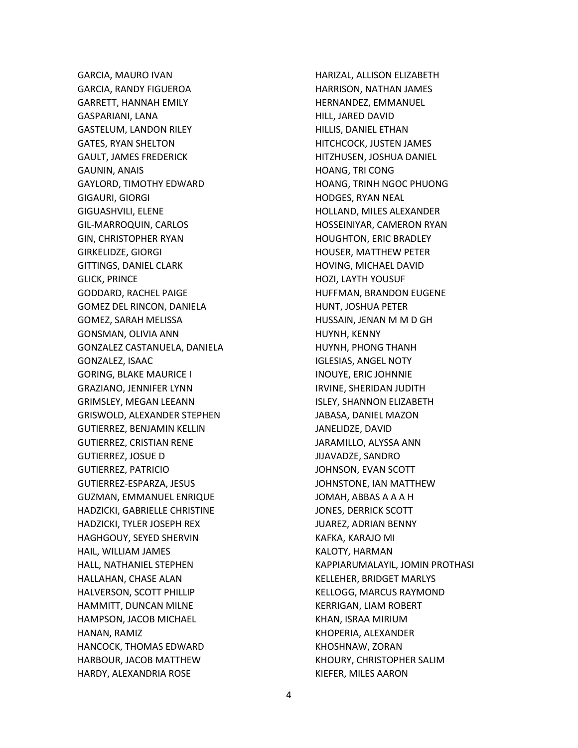GARCIA, MAURO IVAN GARCIA, RANDY FIGUEROA GARRETT, HANNAH EMILY GASPARIANI, LANA GASTELUM, LANDON RILEY GATES, RYAN SHELTON GAULT, JAMES FREDERICK GAUNIN, ANAIS GAYLORD, TIMOTHY EDWARD GIGAURI, GIORGI GIGUASHVILI, ELENE GIL-MARROQUIN, CARLOS GIN, CHRISTOPHER RYAN GIRKELIDZE, GIORGI GITTINGS, DANIEL CLARK GLICK, PRINCE GODDARD, RACHEL PAIGE GOMEZ DEL RINCON, DANIELA GOMEZ, SARAH MELISSA GONSMAN, OLIVIA ANN GONZALEZ CASTANUELA, DANIELA GONZALEZ, ISAAC GORING, BLAKE MAURICE I GRAZIANO, JENNIFER LYNN GRIMSLEY, MEGAN LEEANN GRISWOLD, ALEXANDER STEPHEN GUTIERREZ, BENJAMIN KELLIN GUTIERREZ, CRISTIAN RENE GUTIERREZ, JOSUE D GUTIERREZ, PATRICIO GUTIERREZ-ESPARZA, JESUS GUZMAN, EMMANUEL ENRIQUE HADZICKI, GABRIELLE CHRISTINE HADZICKI, TYLER JOSEPH REX HAGHGOUY, SEYED SHERVIN HAIL, WILLIAM JAMES HALL, NATHANIEL STEPHEN HALLAHAN, CHASE ALAN HALVERSON, SCOTT PHILLIP HAMMITT, DUNCAN MILNE HAMPSON, JACOB MICHAEL HANAN, RAMIZ HANCOCK, THOMAS EDWARD HARBOUR, JACOB MATTHEW HARDY, ALEXANDRIA ROSE

HARIZAL, ALLISON ELIZABETH HARRISON, NATHAN JAMES HERNANDEZ, EMMANUEL HILL, JARED DAVID HILLIS, DANIEL ETHAN HITCHCOCK, JUSTEN JAMES HITZHUSEN, JOSHUA DANIEL HOANG, TRI CONG HOANG, TRINH NGOC PHUONG HODGES, RYAN NEAL HOLLAND, MILES ALEXANDER HOSSEINIYAR, CAMERON RYAN HOUGHTON, ERIC BRADLEY HOUSER, MATTHEW PETER HOVING, MICHAEL DAVID HOZI, LAYTH YOUSUF HUFFMAN, BRANDON EUGENE HUNT, JOSHUA PETER HUSSAIN, JENAN M M D GH HUYNH, KENNY HUYNH, PHONG THANH IGLESIAS, ANGEL NOTY INOUYE, ERIC JOHNNIE IRVINE, SHERIDAN JUDITH ISLEY, SHANNON ELIZABETH JABASA, DANIEL MAZON JANELIDZE, DAVID JARAMILLO, ALYSSA ANN JIJAVADZE, SANDRO JOHNSON, EVAN SCOTT JOHNSTONE, IAN MATTHEW JOMAH, ABBAS A A A H JONES, DERRICK SCOTT JUAREZ, ADRIAN BENNY KAFKA, KARAJO MI KALOTY, HARMAN KAPPIARUMALAYIL, JOMIN PROTHASI KELLEHER, BRIDGET MARLYS KELLOGG, MARCUS RAYMOND KERRIGAN, LIAM ROBERT KHAN, ISRAA MIRIUM KHOPERIA, ALEXANDER KHOSHNAW, ZORAN KHOURY, CHRISTOPHER SALIM KIEFER, MILES AARON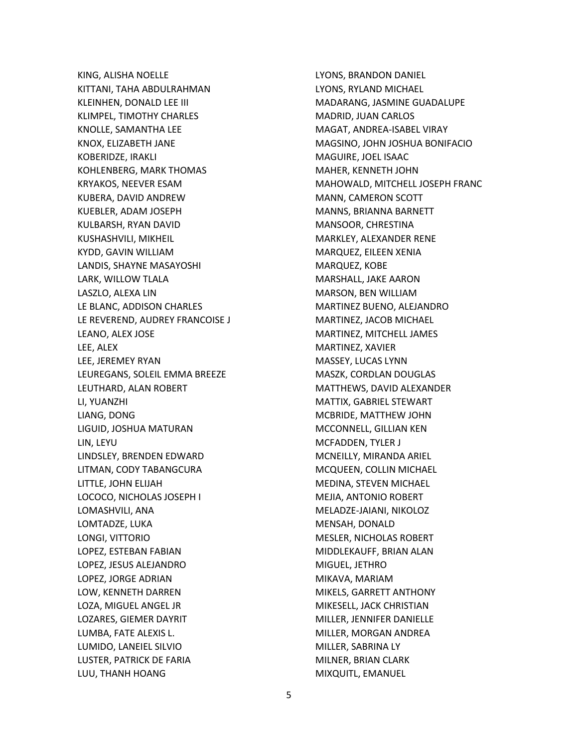KING, ALISHA NOELLE KITTANI, TAHA ABDULRAHMAN KLEINHEN, DONALD LEE III KLIMPEL, TIMOTHY CHARLES KNOLLE, SAMANTHA LEE KNOX, ELIZABETH JANE KOBERIDZE, IRAKLI KOHLENBERG, MARK THOMAS KRYAKOS, NEEVER ESAM KUBERA, DAVID ANDREW KUEBLER, ADAM JOSEPH KULBARSH, RYAN DAVID KUSHASHVILI, MIKHEIL KYDD, GAVIN WILLIAM LANDIS, SHAYNE MASAYOSHI LARK, WILLOW TLALA LASZLO, ALEXA LIN LE BLANC, ADDISON CHARLES LE REVEREND, AUDREY FRANCOISE J LEANO, ALEX JOSE LEE, ALEX LEE, JEREMEY RYAN LEUREGANS, SOLEIL EMMA BREEZE LEUTHARD, ALAN ROBERT LI, YUANZHI LIANG, DONG LIGUID, JOSHUA MATURAN LIN, LEYU LINDSLEY, BRENDEN EDWARD LITMAN, CODY TABANGCURA LITTLE, JOHN ELIJAH LOCOCO, NICHOLAS JOSEPH I LOMASHVILI, ANA LOMTADZE, LUKA LONGI, VITTORIO LOPEZ, ESTEBAN FABIAN LOPEZ, JESUS ALEJANDRO LOPEZ, JORGE ADRIAN LOW, KENNETH DARREN LOZA, MIGUEL ANGEL JR LOZARES, GIEMER DAYRIT LUMBA, FATE ALEXIS L. LUMIDO, LANEIEL SILVIO LUSTER, PATRICK DE FARIA LUU, THANH HOANG

LYONS, BRANDON DANIEL LYONS, RYLAND MICHAEL MADARANG, JASMINE GUADALUPE MADRID, JUAN CARLOS MAGAT, ANDREA-ISABEL VIRAY MAGSINO, JOHN JOSHUA BONIFACIO MAGUIRE, JOEL ISAAC MAHER, KENNETH JOHN MAHOWALD, MITCHELL JOSEPH FRANC MANN, CAMERON SCOTT MANNS, BRIANNA BARNETT MANSOOR, CHRESTINA MARKLEY, ALEXANDER RENE MARQUEZ, EILEEN XENIA MARQUEZ, KOBE MARSHALL, JAKE AARON MARSON, BEN WILLIAM MARTINEZ BUENO, ALEJANDRO MARTINEZ, JACOB MICHAEL MARTINEZ, MITCHELL JAMES MARTINEZ, XAVIER MASSEY, LUCAS LYNN MASZK, CORDLAN DOUGLAS MATTHEWS, DAVID ALEXANDER MATTIX, GABRIEL STEWART MCBRIDE, MATTHEW JOHN MCCONNELL, GILLIAN KEN MCFADDEN, TYLER J MCNEILLY, MIRANDA ARIEL MCQUEEN, COLLIN MICHAEL MEDINA, STEVEN MICHAEL MEJIA, ANTONIO ROBERT MELADZE-JAIANI, NIKOLOZ MENSAH, DONALD MESLER, NICHOLAS ROBERT MIDDLEKAUFF, BRIAN ALAN MIGUEL, JETHRO MIKAVA, MARIAM MIKELS, GARRETT ANTHONY MIKESELL, JACK CHRISTIAN MILLER, JENNIFER DANIELLE MILLER, MORGAN ANDREA MILLER, SABRINA LY MILNER, BRIAN CLARK MIXQUITL, EMANUEL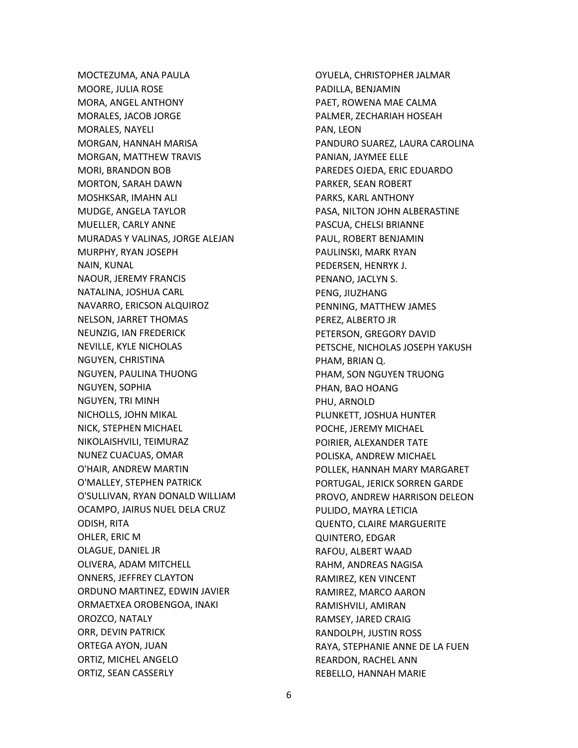MOCTEZUMA, ANA PAULA MOORE, JULIA ROSE MORA, ANGEL ANTHONY MORALES, JACOB JORGE MORALES, NAYELI MORGAN, HANNAH MARISA MORGAN, MATTHEW TRAVIS MORI, BRANDON BOB MORTON, SARAH DAWN MOSHKSAR, IMAHN ALI MUDGE, ANGELA TAYLOR MUELLER, CARLY ANNE MURADAS Y VALINAS, JORGE ALEJAN MURPHY, RYAN JOSEPH NAIN, KUNAL NAOUR, JEREMY FRANCIS NATALINA, JOSHUA CARL NAVARRO, ERICSON ALQUIROZ NELSON, JARRET THOMAS NEUNZIG, IAN FREDERICK NEVILLE, KYLE NICHOLAS NGUYEN, CHRISTINA NGUYEN, PAULINA THUONG NGUYEN, SOPHIA NGUYEN, TRI MINH NICHOLLS, JOHN MIKAL NICK, STEPHEN MICHAEL NIKOLAISHVILI, TEIMURAZ NUNEZ CUACUAS, OMAR O'HAIR, ANDREW MARTIN O'MALLEY, STEPHEN PATRICK O'SULLIVAN, RYAN DONALD WILLIAM OCAMPO, JAIRUS NUEL DELA CRUZ ODISH, RITA OHLER, ERIC M OLAGUE, DANIEL JR OLIVERA, ADAM MITCHELL ONNERS, JEFFREY CLAYTON ORDUNO MARTINEZ, EDWIN JAVIER ORMAETXEA OROBENGOA, INAKI OROZCO, NATALY ORR, DEVIN PATRICK ORTEGA AYON, JUAN ORTIZ, MICHEL ANGELO ORTIZ, SEAN CASSERLY

OYUELA, CHRISTOPHER JALMAR PADILLA, BENJAMIN PAET, ROWENA MAE CALMA PALMER, ZECHARIAH HOSEAH PAN, LEON PANDURO SUAREZ, LAURA CAROLINA PANIAN, JAYMEE ELLE PAREDES OJEDA, ERIC EDUARDO PARKER, SEAN ROBERT PARKS, KARL ANTHONY PASA, NILTON JOHN ALBERASTINE PASCUA, CHELSI BRIANNE PAUL, ROBERT BENJAMIN PAULINSKI, MARK RYAN PEDERSEN, HENRYK J. PENANO, JACLYN S. PENG, JIUZHANG PENNING, MATTHEW JAMES PEREZ, ALBERTO JR PETERSON, GREGORY DAVID PETSCHE, NICHOLAS JOSEPH YAKUSH PHAM, BRIAN Q. PHAM, SON NGUYEN TRUONG PHAN, BAO HOANG PHU, ARNOLD PLUNKETT, JOSHUA HUNTER POCHE, JEREMY MICHAEL POIRIER, ALEXANDER TATE POLISKA, ANDREW MICHAEL POLLEK, HANNAH MARY MARGARET PORTUGAL, JERICK SORREN GARDE PROVO, ANDREW HARRISON DELEON PULIDO, MAYRA LETICIA QUENTO, CLAIRE MARGUERITE QUINTERO, EDGAR RAFOU, ALBERT WAAD RAHM, ANDREAS NAGISA RAMIREZ, KEN VINCENT RAMIREZ, MARCO AARON RAMISHVILI, AMIRAN RAMSEY, JARED CRAIG RANDOLPH, JUSTIN ROSS RAYA, STEPHANIE ANNE DE LA FUEN REARDON, RACHEL ANN REBELLO, HANNAH MARIE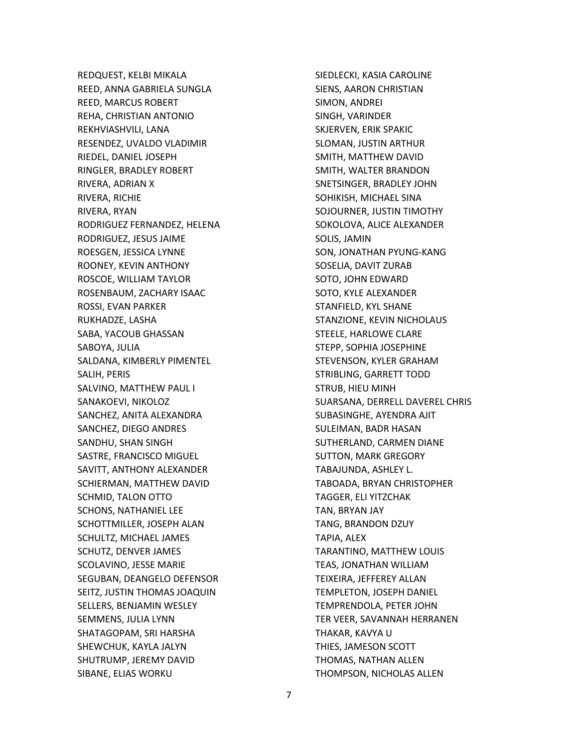REDQUEST, KELBI MIKALA REED, ANNA GABRIELA SUNGLA REED, MARCUS ROBERT REHA, CHRISTIAN ANTONIO REKHVIASHVILI, LANA RESENDEZ, UVALDO VLADIMIR RIEDEL, DANIEL JOSEPH RINGLER, BRADLEY ROBERT RIVERA, ADRIAN X RIVERA, RICHIE RIVERA, RYAN RODRIGUEZ FERNANDEZ, HELENA RODRIGUEZ, JESUS JAIME ROESGEN, JESSICA LYNNE ROONEY, KEVIN ANTHONY ROSCOE, WILLIAM TAYLOR ROSENBAUM, ZACHARY ISAAC ROSSI, EVAN PARKER RUKHADZE, LASHA SABA, YACOUB GHASSAN SABOYA, JULIA SALDANA, KIMBERLY PIMENTEL SALIH, PERIS SALVINO, MATTHEW PAUL I SANAKOEVI, NIKOLOZ SANCHEZ, ANITA ALEXANDRA SANCHEZ, DIEGO ANDRES SANDHU, SHAN SINGH SASTRE, FRANCISCO MIGUEL SAVITT, ANTHONY ALEXANDER SCHIERMAN, MATTHEW DAVID SCHMID, TALON OTTO SCHONS, NATHANIEL LEE SCHOTTMILLER, JOSEPH ALAN SCHULTZ, MICHAEL JAMES SCHUTZ, DENVER JAMES SCOLAVINO, JESSE MARIE SEGUBAN, DEANGELO DEFENSOR SEITZ, JUSTIN THOMAS JOAQUIN SELLERS, BENJAMIN WESLEY SEMMENS, JULIA LYNN SHATAGOPAM, SRI HARSHA SHEWCHUK, KAYLA JALYN SHUTRUMP, JEREMY DAVID SIBANE, ELIAS WORKU

SIEDLECKI, KASIA CAROLINE SIENS, AARON CHRISTIAN SIMON, ANDREI SINGH, VARINDER SKJERVEN, ERIK SPAKIC SLOMAN, JUSTIN ARTHUR SMITH, MATTHEW DAVID SMITH, WALTER BRANDON SNETSINGER, BRADLEY JOHN SOHIKISH, MICHAEL SINA SOJOURNER, JUSTIN TIMOTHY SOKOLOVA, ALICE ALEXANDER SOLIS, JAMIN SON, JONATHAN PYUNG-KANG SOSELIA, DAVIT ZURAB SOTO, JOHN EDWARD SOTO, KYLE ALEXANDER STANFIELD, KYL SHANE STANZIONE, KEVIN NICHOLAUS STEELE, HARLOWE CLARE STEPP, SOPHIA JOSEPHINE STEVENSON, KYLER GRAHAM STRIBLING, GARRETT TODD STRUB, HIEU MINH SUARSANA, DERRELL DAVEREL CHRIS SUBASINGHE, AYENDRA AJIT SULEIMAN, BADR HASAN SUTHERLAND, CARMEN DIANE SUTTON, MARK GREGORY TABAJUNDA, ASHLEY L. TABOADA, BRYAN CHRISTOPHER TAGGER, ELI YITZCHAK TAN, BRYAN JAY TANG, BRANDON DZUY TAPIA, ALEX TARANTINO, MATTHEW LOUIS TEAS, JONATHAN WILLIAM TEIXEIRA, JEFFEREY ALLAN TEMPLETON, JOSEPH DANIEL TEMPRENDOLA, PETER JOHN TER VEER, SAVANNAH HERRANEN THAKAR, KAVYA U THIES, JAMESON SCOTT THOMAS, NATHAN ALLEN THOMPSON, NICHOLAS ALLEN